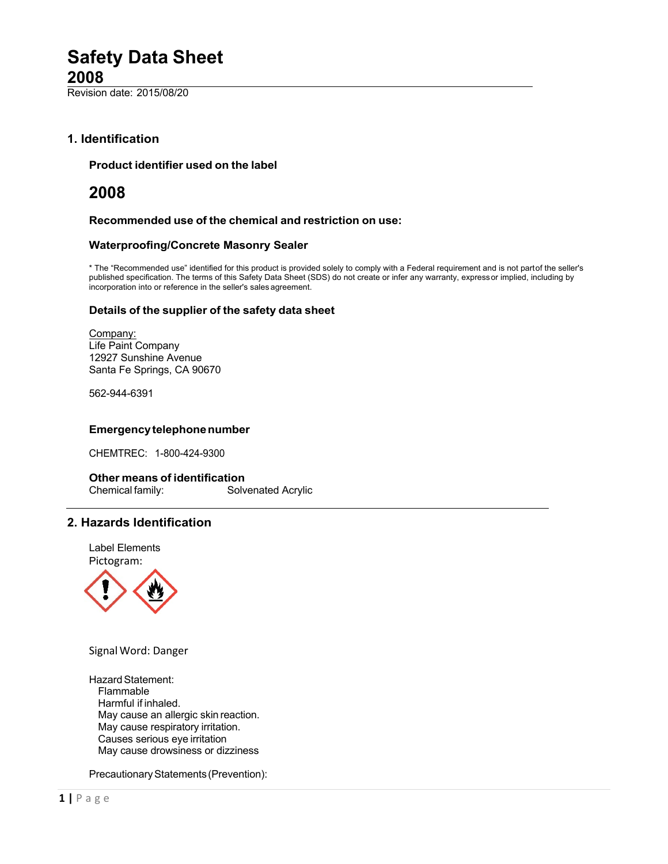Revision date: 2015/08/20

# **1. Identification**

## **Product identifier used on the label**

# **2008**

### **Recommended use of the chemical and restriction on use:**

### **Waterproofing/Concrete Masonry Sealer**

\* The "Recommended use" identified for this product is provided solely to comply with a Federal requirement and is not partof the seller's published specification. The terms of this Safety Data Sheet (SDS) do not create or infer any warranty, expressor implied, including by incorporation into or reference in the seller's sales agreement.

#### **Details of the supplier of the safety data sheet**

Company: Life Paint Company 12927 Sunshine Avenue Santa Fe Springs, CA 90670

562-944-6391

## **Emergencytelephonenumber**

CHEMTREC: 1-800-424-9300

### **Other means of identification**

Chemical family: Solvenated Acrylic

# **2. Hazards Identification**

Label Elements Pictogram:



Signal Word: Danger

Hazard Statement: Flammable Harmful if inhaled. May cause an allergic skin reaction. May cause respiratory irritation. Causes serious eye irritation May cause drowsiness or dizziness

Precautionary Statements (Prevention):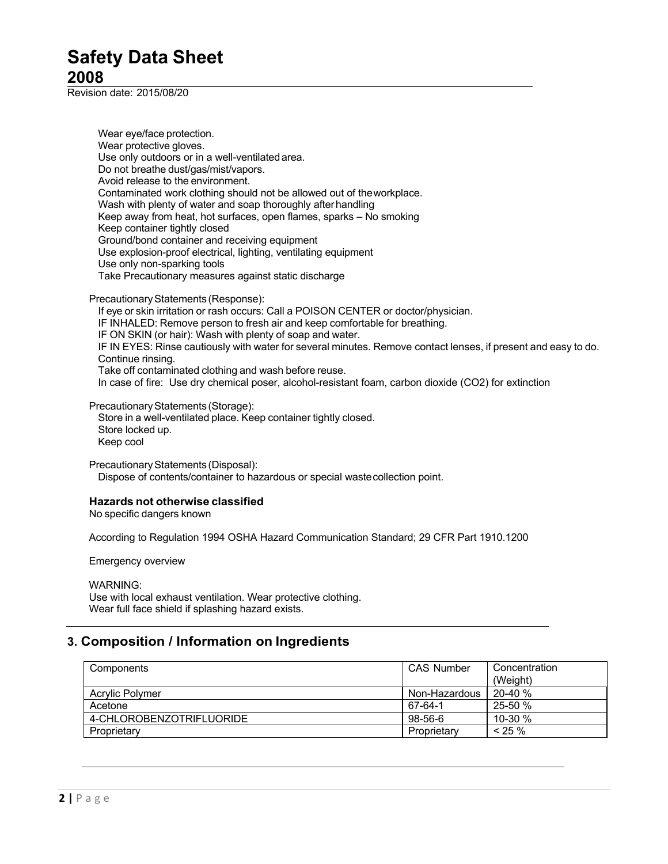Revision date: 2015/08/20

Wear eye/face protection. Wear protective gloves. Use only outdoors or in a well-ventilated area. Do not breathe dust/gas/mist/vapors. Avoid release to the environment. Contaminated work clothing should not be allowed out of theworkplace. Wash with plenty of water and soap thoroughly afterhandling Keep away from heat, hot surfaces, open flames, sparks – No smoking Keep container tightly closed Ground/bond container and receiving equipment Use explosion-proof electrical, lighting, ventilating equipment Use only non-sparking tools Take Precautionary measures against static discharge

Precautionary Statements (Response):

If eye or skin irritation or rash occurs: Call a POISON CENTER or doctor/physician. IF INHALED: Remove person to fresh air and keep comfortable for breathing. IF ON SKIN (or hair): Wash with plenty of soap and water. IF IN EYES: Rinse cautiously with water for several minutes. Remove contact lenses, if present and easy to do. Continue rinsing. Take off contaminated clothing and wash before reuse. In case of fire: Use dry chemical poser, alcohol-resistant foam, carbon dioxide (CO2) for extinction

Precautionary Statements (Storage): Store in a well-ventilated place. Keep container tightly closed. Store locked up. Keep cool

PrecautionaryStatements (Disposal): Dispose of contents/container to hazardous or special wastecollection point.

# **Hazards not otherwise classified**

No specific dangers known

According to Regulation 1994 OSHA Hazard Communication Standard; 29 CFR Part 1910.1200

Emergency overview

WARNING:

Use with local exhaust ventilation. Wear protective clothing. Wear full face shield if splashing hazard exists.

# **3. Composition / Information on Ingredients**

| Components               | <b>CAS Number</b> | Concentration |
|--------------------------|-------------------|---------------|
|                          |                   | (Weight)      |
| Acrylic Polymer          | Non-Hazardous     | $20-40%$      |
| Acetone                  | 67-64-1           | 25-50 %       |
| 4-CHLOROBENZOTRIFLUORIDE | 98-56-6           | 10-30 $%$     |
| Proprietary              | Proprietary       | $< 25 \%$     |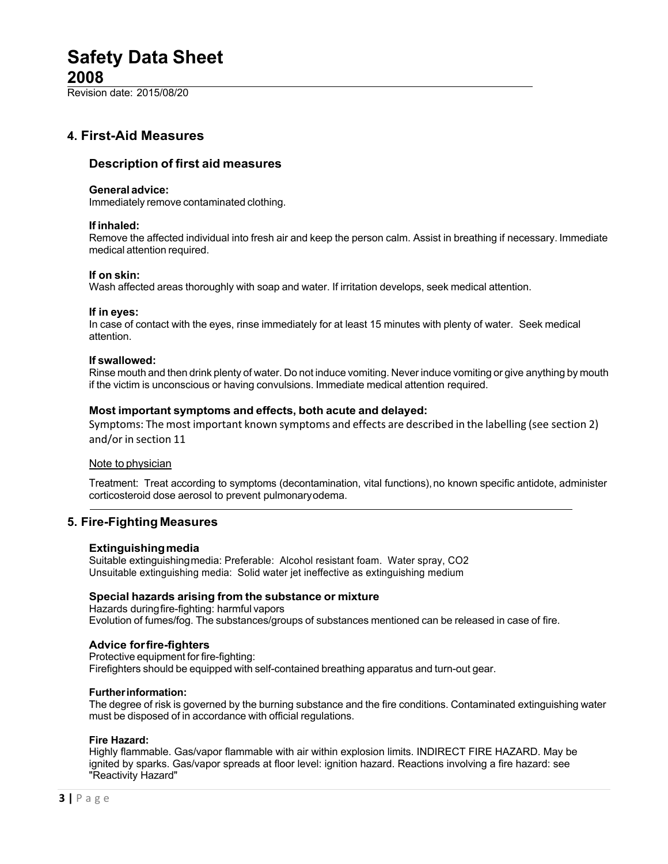Revision date: 2015/08/20

# **4. First-Aid Measures**

# **Description of first aid measures**

## **General advice:**

Immediately remove contaminated clothing.

## **If inhaled:**

Remove the affected individual into fresh air and keep the person calm. Assist in breathing if necessary. Immediate medical attention required.

### **If on skin:**

Wash affected areas thoroughly with soap and water. If irritation develops, seek medical attention.

## **If in eyes:**

In case of contact with the eyes, rinse immediately for at least 15 minutes with plenty of water. Seek medical attention.

## **If swallowed:**

Rinse mouth and then drink plenty of water. Do not induce vomiting. Never induce vomiting or give anything by mouth if the victim is unconscious or having convulsions. Immediate medical attention required.

# **Most important symptoms and effects, both acute and delayed:**

Symptoms: The most important known symptoms and effects are described in the labelling (see section 2) and/or in section 11

### Note to physician

Treatment: Treat according to symptoms (decontamination, vital functions), no known specific antidote, administer corticosteroid dose aerosol to prevent pulmonaryodema.

# **5. Fire-Fighting Measures**

# **Extinguishingmedia**

Suitable extinguishingmedia: Preferable: Alcohol resistant foam. Water spray, CO2 Unsuitable extinguishing media: Solid water jet ineffective as extinguishing medium

### **Special hazards arising from the substance or mixture**

Hazards duringfire-fighting: harmful vapors Evolution of fumes/fog. The substances/groups of substances mentioned can be released in case of fire.

# **Advice forfire-fighters**

Protective equipment for fire-fighting: Firefighters should be equipped with self-contained breathing apparatus and turn-out gear.

### **Furtherinformation:**

The degree of risk is governed by the burning substance and the fire conditions. Contaminated extinguishing water must be disposed of in accordance with official regulations.

### **Fire Hazard:**

Highly flammable. Gas/vapor flammable with air within explosion limits. INDIRECT FIRE HAZARD. May be ignited by sparks. Gas/vapor spreads at floor level: ignition hazard. Reactions involving a fire hazard: see "Reactivity Hazard"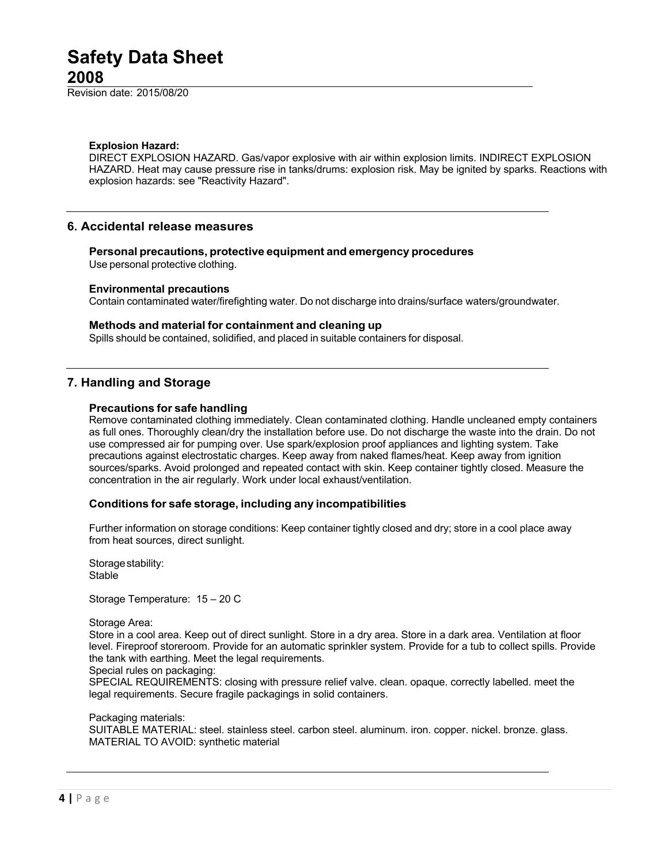Revision date: 2015/08/20

#### **Explosion Hazard:**

DIRECT EXPLOSION HAZARD. Gas/vapor explosive with air within explosion limits. INDIRECT EXPLOSION HAZARD. Heat may cause pressure rise in tanks/drums: explosion risk. May be ignited by sparks. Reactions with explosion hazards: see "Reactivity Hazard".

## **6. Accidental release measures**

**Personal precautions, protective equipment and emergency procedures**

Use personal protective clothing.

### **Environmental precautions**

Contain contaminated water/firefighting water. Do not discharge into drains/surface waters/groundwater.

#### **Methods and material for containment and cleaning up**

Spills should be contained, solidified, and placed in suitable containers for disposal.

## **7. Handling and Storage**

#### **Precautions for safe handling**

Remove contaminated clothing immediately. Clean contaminated clothing. Handle uncleaned empty containers as full ones. Thoroughly clean/dry the installation before use. Do not discharge the waste into the drain. Do not use compressed air for pumping over. Use spark/explosion proof appliances and lighting system. Take precautions against electrostatic charges. Keep away from naked flames/heat. Keep away from ignition sources/sparks. Avoid prolonged and repeated contact with skin. Keep container tightly closed. Measure the concentration in the air regularly. Work under local exhaust/ventilation.

### **Conditions for safe storage, including any incompatibilities**

Further information on storage conditions: Keep container tightly closed and dry; store in a cool place away from heat sources, direct sunlight.

Storage stability: Stable

Storage Temperature: 15 – 20 C

#### Storage Area:

Store in a cool area. Keep out of direct sunlight. Store in a dry area. Store in a dark area. Ventilation at floor level. Fireproof storeroom. Provide for an automatic sprinkler system. Provide for a tub to collect spills. Provide the tank with earthing. Meet the legal requirements.

Special rules on packaging:

SPECIAL REQUIREMENTS: closing with pressure relief valve. clean. opaque. correctly labelled. meet the legal requirements. Secure fragile packagings in solid containers.

#### Packaging materials:

SUITABLE MATERIAL: steel. stainless steel. carbon steel. aluminum. iron. copper. nickel. bronze. glass. MATERIAL TO AVOID: synthetic material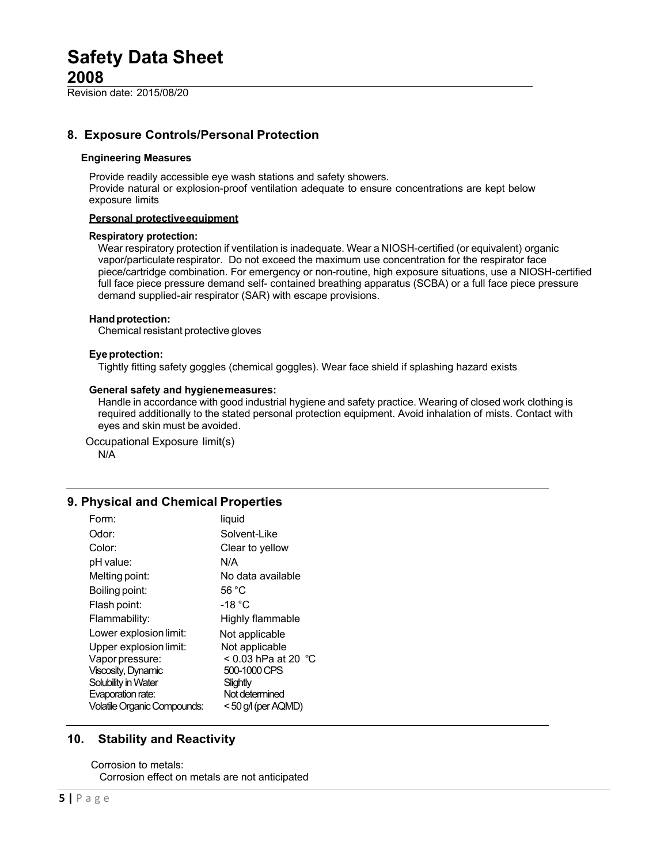Revision date: 2015/08/20

# **8. Exposure Controls/Personal Protection**

### **Engineering Measures**

Provide readily accessible eye wash stations and safety showers. Provide natural or explosion-proof ventilation adequate to ensure concentrations are kept below exposure limits

### **Personal protectiveequipment**

### **Respiratory protection:**

Wear respiratory protection if ventilation is inadequate. Wear a NIOSH-certified (or equivalent) organic vapor/particulaterespirator. Do not exceed the maximum use concentration for the respirator face piece/cartridge combination. For emergency or non-routine, high exposure situations, use a NIOSH-certified full face piece pressure demand self- contained breathing apparatus (SCBA) or a full face piece pressure demand supplied-air respirator (SAR) with escape provisions.

### **Handprotection:**

Chemical resistant protective gloves

### **Eye protection:**

Tightly fitting safety goggles (chemical goggles). Wear face shield if splashing hazard exists

#### **General safety and hygienemeasures:**

Handle in accordance with good industrial hygiene and safety practice. Wearing of closed work clothing is required additionally to the stated personal protection equipment. Avoid inhalation of mists. Contact with eyes and skin must be avoided.

Occupational Exposure limit(s) N/A

# **9. Physical and Chemical Properties**

| Form:                              | liquid                        |
|------------------------------------|-------------------------------|
| Odor:                              | Solvent-Like                  |
| Color:                             | Clear to yellow               |
| pH value:                          | N/A                           |
| Melting point:                     | No data available             |
| Boiling point:                     | 56 °C                         |
| Flash point:                       | -18 $^{\circ}$ C              |
| Flammability:                      | Highly flammable              |
| Lower explosion limit:             | Not applicable                |
| Upper explosion limit:             | Not applicable                |
| Vapor pressure:                    | < 0.03 hPa at 20 $^{\circ}$ C |
| <b>Viscosity, Dynamic</b>          | 500-1000 CPS                  |
| Solubility in Water                | Slightly                      |
| Evaporation rate:                  | Not determined                |
| <b>Volatile Organic Compounds:</b> | < 50 g/l (per AQMD)           |

# **10. Stability and Reactivity**

Corrosion to metals: Corrosion effect on metals are not anticipated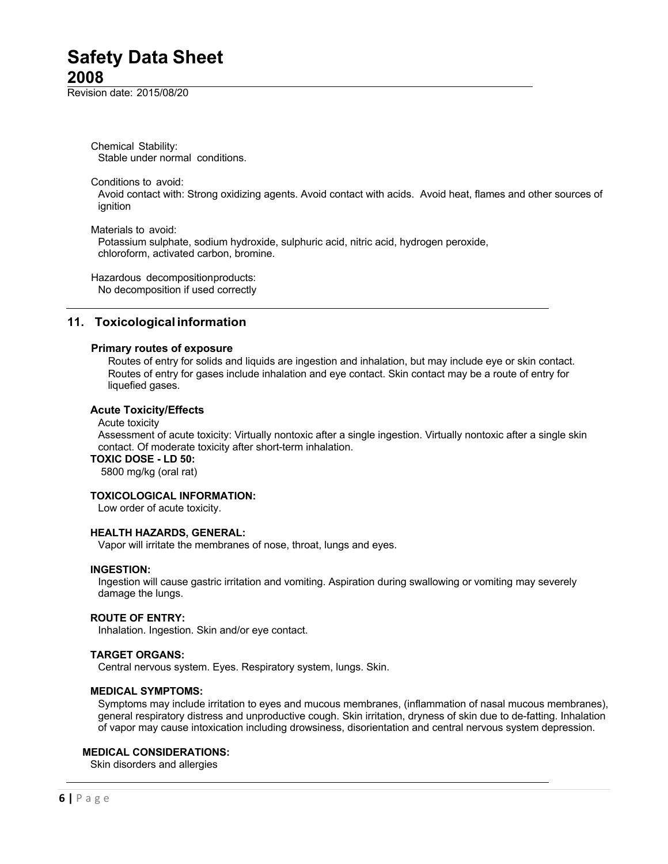Revision date: 2015/08/20

Chemical Stability: Stable under normal conditions.

Conditions to avoid:

Avoid contact with: Strong oxidizing agents. Avoid contact with acids. Avoid heat, flames and other sources of ignition

Materials to avoid:

Potassium sulphate, sodium hydroxide, sulphuric acid, nitric acid, hydrogen peroxide, chloroform, activated carbon, bromine.

Hazardous decompositionproducts: No decomposition if used correctly

# **11. Toxicological information**

### **Primary routes of exposure**

Routes of entry for solids and liquids are ingestion and inhalation, but may include eye or skin contact. Routes of entry for gases include inhalation and eye contact. Skin contact may be a route of entry for liquefied gases.

### **Acute Toxicity/Effects**

Acute toxicity

Assessment of acute toxicity: Virtually nontoxic after a single ingestion. Virtually nontoxic after a single skin contact. Of moderate toxicity after short-term inhalation.

### **TOXIC DOSE - LD 50:**

5800 mg/kg (oral rat)

### **TOXICOLOGICAL INFORMATION:**

Low order of acute toxicity.

# **HEALTH HAZARDS, GENERAL:**

Vapor will irritate the membranes of nose, throat, lungs and eyes.

#### **INGESTION:**

Ingestion will cause gastric irritation and vomiting. Aspiration during swallowing or vomiting may severely damage the lungs.

## **ROUTE OF ENTRY:**

Inhalation. Ingestion. Skin and/or eye contact.

### **TARGET ORGANS:**

Central nervous system. Eyes. Respiratory system, lungs. Skin.

### **MEDICAL SYMPTOMS:**

Symptoms may include irritation to eyes and mucous membranes, (inflammation of nasal mucous membranes), general respiratory distress and unproductive cough. Skin irritation, dryness of skin due to de-fatting. Inhalation of vapor may cause intoxication including drowsiness, disorientation and central nervous system depression.

## **MEDICAL CONSIDERATIONS:**

Skin disorders and allergies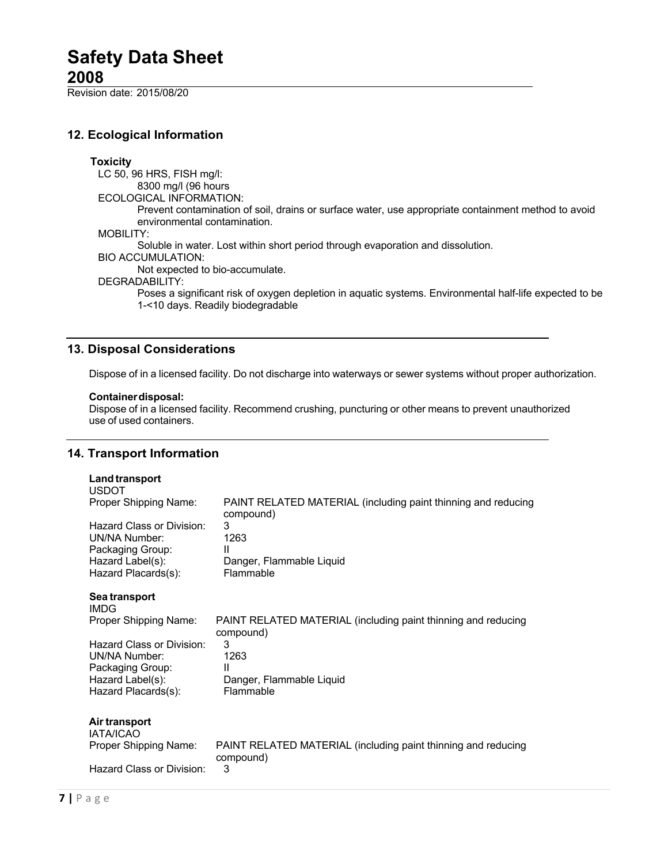Revision date: 2015/08/20

# **12. Ecological Information**

### **Toxicity**

LC 50, 96 HRS, FISH mg/l: 8300 mg/l (96 hours ECOLOGICAL INFORMATION: Prevent contamination of soil, drains or surface water, use appropriate containment method to avoid environmental contamination. MOBILITY: Soluble in water. Lost within short period through evaporation and dissolution.

BIO ACCUMULATION:

Not expected to bio-accumulate.

DEGRADABILITY:

Poses a significant risk of oxygen depletion in aquatic systems. Environmental half-life expected to be 1-<10 days. Readily biodegradable

# **13. Disposal Considerations**

Dispose of in a licensed facility. Do not discharge into waterways or sewer systems without proper authorization.

### **Containerdisposal:**

Dispose of in a licensed facility. Recommend crushing, puncturing or other means to prevent unauthorized use of used containers.

# **14. Transport Information**

| Land transport<br><b>USDOT</b>             |                                                                            |
|--------------------------------------------|----------------------------------------------------------------------------|
| Proper Shipping Name:                      | PAINT RELATED MATERIAL (including paint thinning and reducing<br>compound) |
| Hazard Class or Division:<br>UN/NA Number: | 3<br>1263                                                                  |
| Packaging Group:                           | Ш                                                                          |
| Hazard Label(s):<br>Hazard Placards(s):    | Danger, Flammable Liquid<br>Flammable                                      |
| Sea transport<br><b>IMDG</b>               |                                                                            |
| Proper Shipping Name:                      | PAINT RELATED MATERIAL (including paint thinning and reducing<br>compound) |
| Hazard Class or Division:<br>UN/NA Number: | 3<br>1263                                                                  |
| Packaging Group:                           | Ш                                                                          |
| Hazard Label(s):<br>Hazard Placards(s):    | Danger, Flammable Liquid<br>Flammable                                      |
| Air transport<br><b>IATA/ICAO</b>          |                                                                            |
| Proper Shipping Name:                      | PAINT RELATED MATERIAL (including paint thinning and reducing<br>compound) |
| Hazard Class or Division:                  | 3                                                                          |